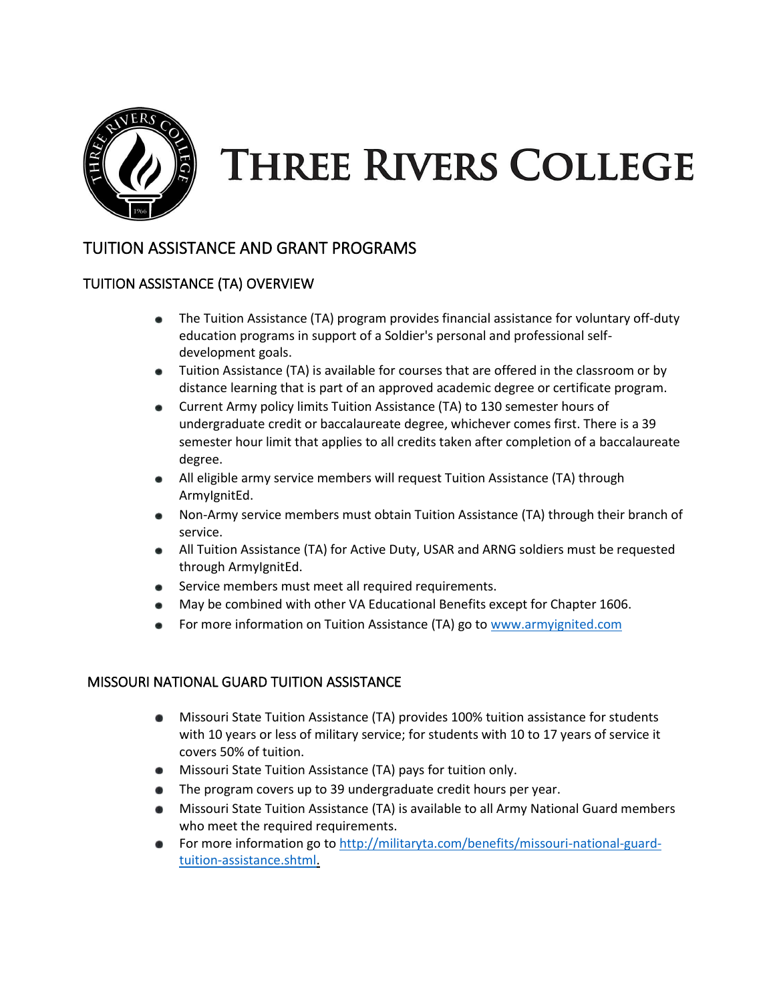

# **THREE RIVERS COLLEGE**

# TUITION ASSISTANCE AND GRANT PROGRAMS

## TUITION ASSISTANCE (TA) OVERVIEW

- The Tuition Assistance (TA) program provides financial assistance for voluntary off-duty education programs in support of a Soldier's personal and professional selfdevelopment goals.
- Tuition Assistance (TA) is available for courses that are offered in the classroom or by distance learning that is part of an approved academic degree or certificate program.
- Current Army policy limits Tuition Assistance (TA) to 130 semester hours of undergraduate credit or baccalaureate degree, whichever comes first. There is a 39 semester hour limit that applies to all credits taken after completion of a baccalaureate degree.
- All eligible army service members will request Tuition Assistance (TA) through ArmyIgnitEd.
- Non-Army service members must obtain Tuition Assistance (TA) through their branch of service.
- All Tuition Assistance (TA) for Active Duty, USAR and ARNG soldiers must be requested through ArmyIgnitEd.
- Service members must meet all required requirements.
- May be combined with other VA Educational Benefits except for Chapter 1606.
- For more information on Tuition Assistance (TA) go to [www.armyignited.com](http://www.armyignited.com/)

#### MISSOURI NATIONAL GUARD TUITION ASSISTANCE

- Missouri State Tuition Assistance (TA) provides 100% tuition assistance for students with 10 years or less of military service; for students with 10 to 17 years of service it covers 50% of tuition.
- **Missouri State Tuition Assistance (TA) pays for tuition only.**
- The program covers up to 39 undergraduate credit hours per year.
- Missouri State Tuition Assistance (TA) is available to all Army National Guard members who meet the required requirements.
- **•** For more information go to [http://militaryta.com/benefits/missouri-national-guard](http://militaryta.com/benefits/missouri-national-guard-tuition-assistance.shtml)[tuition-assistance.shtml.](http://militaryta.com/benefits/missouri-national-guard-tuition-assistance.shtml)